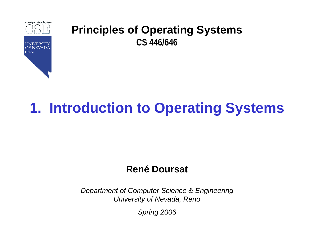

# **1. Introduction to Operating Systems**

#### **René Doursat**

*Department of Computer Science & Engineering University of Nevada, Reno*

*Spring 2006*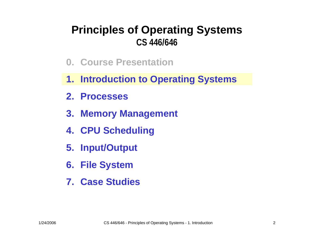- **0. Course Presentation**
- **1. Introduction to Operating Systems**
- **2. Processes**
- **3. Memory Management**
- **4. CPU Scheduling**
- **5. Input/Output**
- **6. File System**
- **7. Case Studies**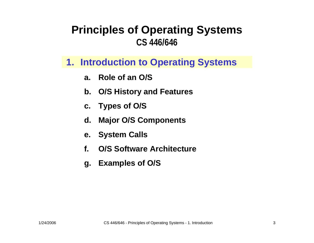#### **1. Introduction to Operating Systems**

- **a. Role of an O/S**
- **b. O/S History and Features**
- **c. Types of O / S**
- **d. Major O/S Components**
- **e. System Calls**
- **f.O/S Software Architecture**
- **g. Examples of O/S**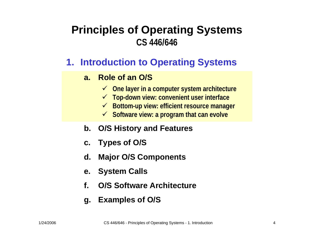#### **1. Introduction to Operating Systems**

#### **a.Role of an O/S**

- 9 **One layer in a computer system architecture**
- 9 **Top-down view: convenient user interface**
- 9 **Bottom-up view: efficient resource m anager**
- $≤$  **Software view: a program that can evolve**
- **b. O/S History and Features**
- **c. Types of O / S**
- **d.Major O/S Components**
- **e. System Calls**
- **f.O/S Software Architecture**
- **g. Examples of O/S**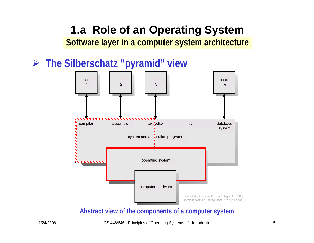## **1.a Role of an Operating System Software layer in a computer system architecture**

## ¾ **The Silberschatz "pyramid" view**



#### **Abstract view of the components of a computer system**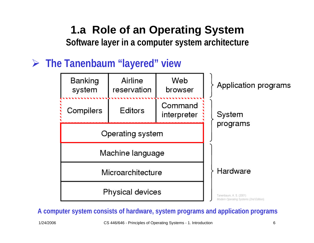**Software layer in a computer system architecture**

## ¾ **The Tanenbaum "layered" view**



**A computer system consists of hardware, system programs and application programs**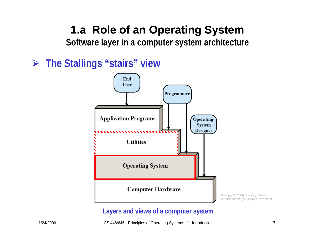**Software layer in a computer system architecture**

¾ **The Stallings "stairs" view**



#### **Layers and views of a computer system**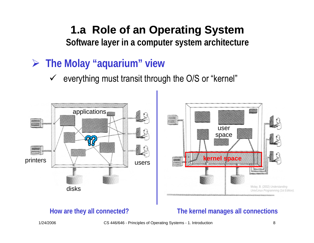**Software layer in a computer system architecture**

- ¾ **The Molay "aquarium" view**
	- $\checkmark$  everything must transit through the O/S or "kernel"



#### **How are they all connected?**

#### **The kernel manages all connections**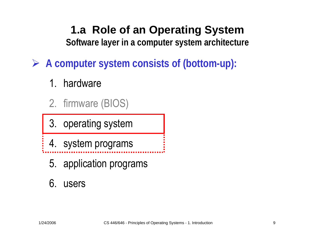**Software layer in a computer system architecture**

¾ **A computer system consists of (bottom-up):**

- 1. hardware
- 2. firmware (BIOS)
- 3. operating system
- 4. system programs
	- 5. application programs

## 6. users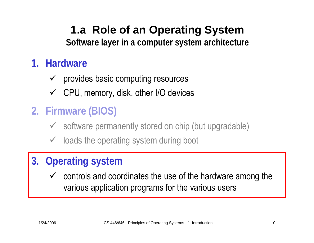**Software layer in a computer system architecture**

## **1. Hardware**

- $\checkmark$  provides basic computing resources
- $\checkmark$  CPU, memory, disk, other I/O devices

## **2. Firmware (BIOS)**

- $\checkmark$  software permanently stored on chip (but upgradable)
- $\checkmark$  loads the operating system during boot

## **3. Operating system**

 $\checkmark$  controls and coordinates the use of the hardware among the various application programs for the various users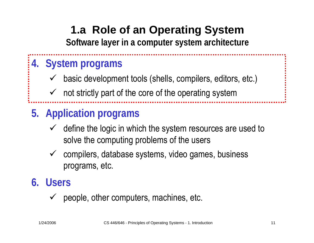**Software layer in a computer system architecture**

## **4. System programs**

- $\checkmark$ basic development tools (shells, compilers, editors, etc.)
- $\sqrt{ }$ not strictly part of the core of the operating system

## **5. Application programs**

- $\checkmark$  define the logic in which the system resources are used to solve the computing problems of the users
- $\sqrt{ }$  compilers, database systems, video games, business programs, etc.

## **6. Users**

 $\checkmark$ people, other computers, machines, etc.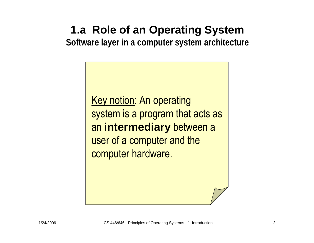**Software layer in a computer system architecture**

Key notion: An operating system is a program that acts as an **intermediary** between a user of a computer and the computer hardware.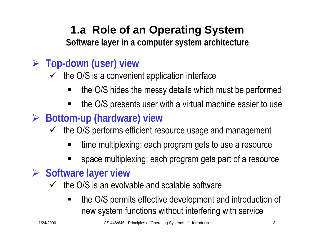**Software layer in a computer system architecture**

## ¾ **Top-down (user) view**

- $\checkmark$  the O/S is a convenient application interface
	- ٠ the O/S hides the messy details which must be performed
	- ٠ the O/S presents user with a virtual machine easier to use
- ¾ **Bottom-up (hardware) view**
	- $\checkmark$  the O/S performs efficient resource usage and management
		- time multiplexing: each program gets to use a resource
		- space multiplexing: each program gets part of a resource

## ¾ **Software layer view**

- $\checkmark$  the O/S is an evolvable and scalable software
	- the O/S permits effective development and introduction of new system functions without interfering with service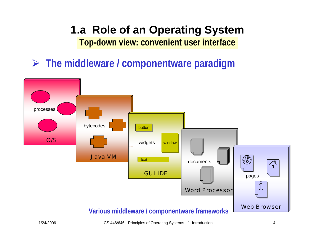¾ **The middleware / componentware paradigm**



1/24/2006 CS 446/646 - Principles of Operating Systems - 1. Introduction 14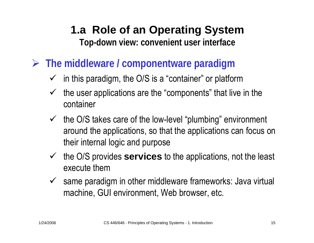- ¾ **The middleware / componentware paradigm**
	- $\checkmark$  in this paradigm, the O/S is a "container" or platform
	- $\sqrt{ }$  the user applications are the "components" that live in the container
	- $\checkmark$  the O/S takes care of the low-level "plumbing" environment around the applications, so that the applications can focus on their internal logic and purpose
	- $\sqrt{ }$  the O/S provides **services** to the applications, not the least execute them
	- $\sqrt{ }$  same paradigm in other middleware frameworks: Java virtual machine, GUI environment, Web browser, etc.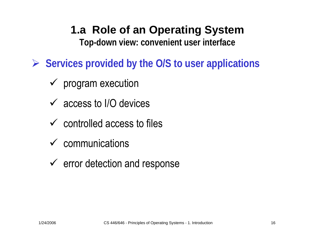**Top-down view: convenient user interface**

- ¾ **Services provided by the O/S to user applications**
	- $\checkmark$  program execution
	- $\checkmark$  access to I/O devices
	- $\checkmark$  controlled access to files
	- $\checkmark$  communications
	- $\checkmark$  error detection and response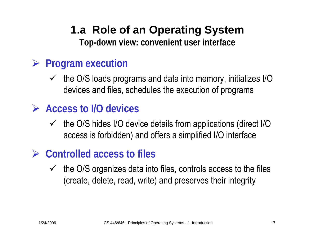## ¾ **Program execution**

- $\checkmark$  the O/S loads programs and data into memory, initializes I/O devices and files, schedules the execution of programs
- ¾ **Access to I/O devices**
	- $\checkmark$  the O/S hides I/O device details from applications (direct I/O access is forbidden) and offers a simplified I/O interface

## ¾ **Controlled access to files**

 $\checkmark$  the O/S organizes data into files, controls access to the files (create, delete, read, write) and preserves their integrity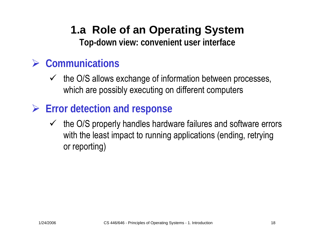## ¾ **Communications**

- $\checkmark$  the O/S allows exchange of information between processes, which are possibly executing on different computers
- ¾ **Error detection and response**
	- $\checkmark$  the O/S properly handles hardware failures and software errors with the least impact to running applications (ending, retrying or reporting)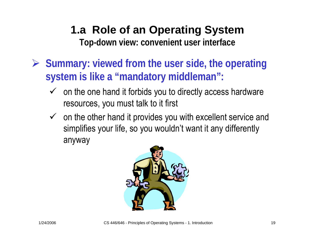- ¾ **Summary: viewed from the user side, the operating system is like a "mandatory middleman":**
	- $\checkmark$  on the one hand it forbids you to directly access hardware resources, you must talk to it first
	- $\checkmark$  on the other hand it provides you with excellent service and simplifies your life, so you wouldn't want it any differently anyway

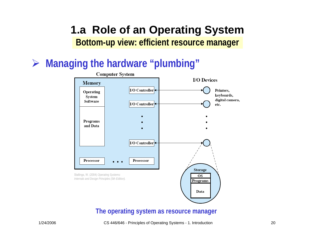### **1.a Role of an Operating System Bottom-up view: efficient resource manager**

## ¾ **Managing the hardware "plumbing"**



#### **The operating system as resource manager**

#### 1/24/2006 CS 446/646 - Principles of Operating Systems - 1. Introduction 20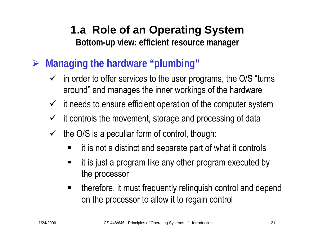## **1.a Role of an Operating System Bottom-up view: efficient resource manager**

- ¾ **Managing the hardware "plumbing"**
	- $\checkmark$  in order to offer services to the user programs, the O/S "turns" around" and manages the inner workings of the hardware
	- $\checkmark$  it needs to ensure efficient operation of the computer system
	- $\checkmark$  it controls the movement, storage and processing of data
	- $\checkmark$  the O/S is a peculiar form of control, though:
		- $\blacksquare$ it is not a distinct and separate part of what it controls
		- $\blacksquare$  it is just a program like any other program executed by the processor
		- $\blacksquare$  therefore, it must frequently relinquish control and depend on the processor to allow it to regain control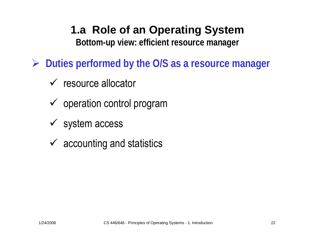**Bottom-up view: efficient resource manager**

- ¾ **Duties performed by the O/S as a resource manager**
	- $\checkmark$  resource allocator
	- $\checkmark$  operation control program
	- $\checkmark$  system access
	- $\checkmark$  accounting and statistics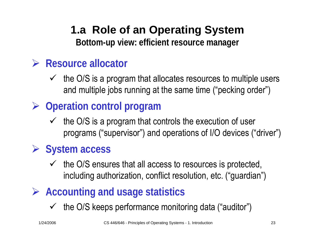## **1.a Role of an Operating System Bottom-up view: efficient resource manager**

## ¾ **Resource allocator**

- $\checkmark$  the O/S is a program that allocates resources to multiple users and multiple jobs running at the same time ("pecking order")
- ¾ **Operation control program**
	- $\checkmark$  the O/S is a program that controls the execution of user programs ("supervisor") and operations of I/O devices ("driver")

## ¾ **System access**

- $\checkmark$  the O/S ensures that all access to resources is protected, including authorization, conflict resolution, etc. ("guardian")
- ¾ **Accounting and usage statistics**
	- $\checkmark$  the O/S keeps performance monitoring data ("auditor")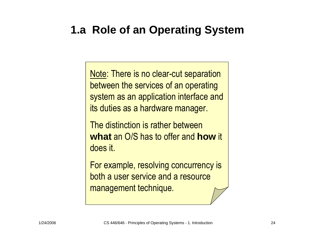Note: There is no clear-cut separation between the services of an operating system as an application interface and its duties as a hardware manager.

The distinction is rather between **what** an O/S has to offer and **how** it does it.

For example, resolving concurrency is both a user service and a resource management technique.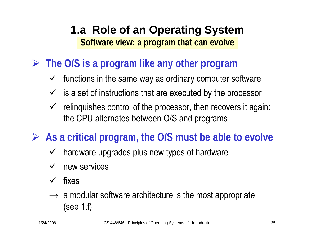## **1.a Role of an Operating System Software view: a program that can evolve**

- ¾ **The O/S is a program like any other program**
	- $\checkmark$  functions in the same way as ordinary computer software
	- $\checkmark$  is a set of instructions that are executed by the processor
	- $\checkmark$  relinquishes control of the processor, then recovers it again: the CPU alternates between O/S and programs
- ¾ **As a critical program, the O/S must be able to evolve**
	- $\checkmark$ hardware upgrades plus new types of hardware
	- $\checkmark$ new services
	- $\checkmark$ fixes
	- $\rightarrow$  a modular software architecture is the most appropriate (see 1.f)